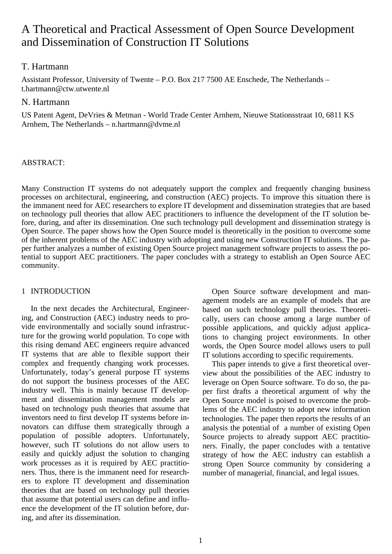# A Theoretical and Practical Assessment of Open Source Development and Dissemination of Construction IT Solutions

# T. Hartmann

Assistant Professor, University of Twente – P.O. Box 217 7500 AE Enschede, The Netherlands – t.hartmann@ctw.utwente.nl

# N. Hartmann

US Patent Agent, DeVries & Metman - World Trade Center Arnhem, Nieuwe Stationsstraat 10, 6811 KS Arnhem, The Netherlands – n.hartmann@dvme.nl

# ABSTRACT:

Many Construction IT systems do not adequately support the complex and frequently changing business processes on architectural, engineering, and construction (AEC) projects. To improve this situation there is the immanent need for AEC researchers to explore IT development and dissemination strategies that are based on technology pull theories that allow AEC practitioners to influence the development of the IT solution before, during, and after its dissemination. One such technology pull development and dissemination strategy is Open Source. The paper shows how the Open Source model is theoretically in the position to overcome some of the inherent problems of the AEC industry with adopting and using new Construction IT solutions. The paper further analyzes a number of existing Open Source project management software projects to assess the potential to support AEC practitioners. The paper concludes with a strategy to establish an Open Source AEC community.

# 1 INTRODUCTION

In the next decades the Architectural, Engineering, and Construction (AEC) industry needs to provide environmentally and socially sound infrastructure for the growing world population. To cope with this rising demand AEC engineers require advanced IT systems that are able to flexible support their complex and frequently changing work processes. Unfortunately, today's general purpose IT systems do not support the business processes of the AEC industry well. This is mainly because IT development and dissemination management models are based on technology push theories that assume that inventors need to first develop IT systems before innovators can diffuse them strategically through a population of possible adopters. Unfortunately, however, such IT solutions do not allow users to easily and quickly adjust the solution to changing work processes as it is required by AEC practitioners. Thus, there is the immanent need for researchers to explore IT development and dissemination theories that are based on technology pull theories that assume that potential users can define and influence the development of the IT solution before, during, and after its dissemination.

Open Source software development and management models are an example of models that are based on such technology pull theories. Theoretically, users can choose among a large number of possible applications, and quickly adjust applications to changing project environments. In other words, the Open Source model allows users to pull IT solutions according to specific requirements.

This paper intends to give a first theoretical overview about the possibilities of the AEC industry to leverage on Open Source software. To do so, the paper first drafts a theoretical argument of why the Open Source model is poised to overcome the problems of the AEC industry to adopt new information technologies. The paper then reports the results of an analysis the potential of a number of existing Open Source projects to already support AEC practitioners. Finally, the paper concludes with a tentative strategy of how the AEC industry can establish a strong Open Source community by considering a number of managerial, financial, and legal issues.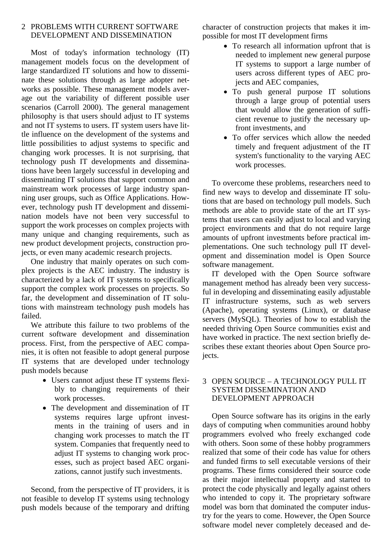# 2 PROBLEMS WITH CURRENT SOFTWARE DEVELOPMENT AND DISSEMINATION

Most of today's information technology (IT) management models focus on the development of large standardized IT solutions and how to disseminate these solutions through as large adopter networks as possible. These management models average out the variability of different possible user scenarios (Carroll 2000). The general management philosophy is that users should adjust to IT systems and not IT systems to users. IT system users have little influence on the development of the systems and little possibilities to adjust systems to specific and changing work processes. It is not surprising, that technology push IT developments and disseminations have been largely successful in developing and disseminating IT solutions that support common and mainstream work processes of large industry spanning user groups, such as Office Applications. However, technology push IT development and dissemination models have not been very successful to support the work processes on complex projects with many unique and changing requirements, such as new product development projects, construction projects, or even many academic research projects.

One industry that mainly operates on such complex projects is the AEC industry. The industry is characterized by a lack of IT systems to specifically support the complex work processes on projects. So far, the development and dissemination of IT solutions with mainstream technology push models has failed.

We attribute this failure to two problems of the current software development and dissemination process. First, from the perspective of AEC companies, it is often not feasible to adopt general purpose IT systems that are developed under technology push models because

- Users cannot adjust these IT systems flexibly to changing requirements of their work processes.
- The development and dissemination of IT systems requires large upfront investments in the training of users and in changing work processes to match the IT system. Companies that frequently need to adjust IT systems to changing work processes, such as project based AEC organizations, cannot justify such investments.

Second, from the perspective of IT providers, it is not feasible to develop IT systems using technology push models because of the temporary and drifting character of construction projects that makes it impossible for most IT development firms

- To research all information upfront that is needed to implement new general purpose IT systems to support a large number of users across different types of AEC projects and AEC companies,
- To push general purpose IT solutions through a large group of potential users that would allow the generation of sufficient revenue to justify the necessary upfront investments, and
- To offer services which allow the needed timely and frequent adjustment of the IT system's functionality to the varying AEC work processes.

To overcome these problems, researchers need to find new ways to develop and disseminate IT solutions that are based on technology pull models. Such methods are able to provide state of the art IT systems that users can easily adjust to local and varying project environments and that do not require large amounts of upfront investments before practical implementations. One such technology pull IT development and dissemination model is Open Source software management.

IT developed with the Open Source software management method has already been very successful in developing and disseminating easily adjustable IT infrastructure systems, such as web servers (Apache), operating systems (Linux), or database servers (MySQL). Theories of how to establish the needed thriving Open Source communities exist and have worked in practice. The next section briefly describes these extant theories about Open Source projects.

## 3 OPEN SOURCE – A TECHNOLOGY PULL IT SYSTEM DISSEMINATION AND DEVELOPMENT APPROACH

Open Source software has its origins in the early days of computing when communities around hobby programmers evolved who freely exchanged code with others. Soon some of these hobby programmers realized that some of their code has value for others and funded firms to sell executable versions of their programs. These firms considered their source code as their major intellectual property and started to protect the code physically and legally against others who intended to copy it. The proprietary software model was born that dominated the computer industry for the years to come. However, the Open Source software model never completely deceased and de-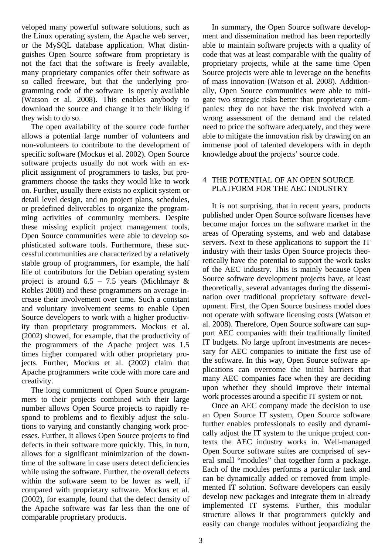veloped many powerful software solutions, such as the Linux operating system, the Apache web server, or the MySQL database application. What distinguishes Open Source software from proprietary is not the fact that the software is freely available, many proprietary companies offer their software as so called freeware, but that the underlying programming code of the software is openly available (Watson et al. 2008). This enables anybody to download the source and change it to their liking if they wish to do so.

The open availability of the source code further allows a potential large number of volunteers and non-volunteers to contribute to the development of specific software (Mockus et al. 2002). Open Source software projects usually do not work with an explicit assignment of programmers to tasks, but programmers choose the tasks they would like to work on. Further, usually there exists no explicit system or detail level design, and no project plans, schedules, or predefined deliverables to organize the programming activities of community members. Despite these missing explicit project management tools, Open Source communities were able to develop sophisticated software tools. Furthermore, these successful communities are characterized by a relatively stable group of programmers, for example, the half life of contributors for the Debian operating system project is around  $6.5 - 7.5$  years (Michlmayr & Robles 2008) and these programmers on average increase their involvement over time. Such a constant and voluntary involvement seems to enable Open Source developers to work with a higher productivity than proprietary programmers. Mockus et al. (2002) showed, for example, that the productivity of the programmers of the Apache project was 1.5 times higher compared with other proprietary projects. Further, Mockus et al. (2002) claim that Apache programmers write code with more care and creativity.

The long commitment of Open Source programmers to their projects combined with their large number allows Open Source projects to rapidly respond to problems and to flexibly adjust the solutions to varying and constantly changing work processes. Further, it allows Open Source projects to find defects in their software more quickly. This, in turn, allows for a significant minimization of the downtime of the software in case users detect deficiencies while using the software. Further, the overall defects within the software seem to be lower as well, if compared with proprietary software. Mockus et al. (2002), for example, found that the defect density of the Apache software was far less than the one of comparable proprietary products.

In summary, the Open Source software development and dissemination method has been reportedly able to maintain software projects with a quality of code that was at least comparable with the quality of proprietary projects, while at the same time Open Source projects were able to leverage on the benefits of mass innovation (Watson et al. 2008). Additionally, Open Source communities were able to mitigate two strategic risks better than proprietary companies: they do not have the risk involved with a wrong assessment of the demand and the related need to price the software adequately, and they were able to mitigate the innovation risk by drawing on an immense pool of talented developers with in depth knowledge about the projects' source code.

## 4 THE POTENTIAL OF AN OPEN SOURCE PLATFORM FOR THE AEC INDUSTRY

It is not surprising, that in recent years, products published under Open Source software licenses have become major forces on the software market in the areas of Operating systems, and web and database servers. Next to these applications to support the IT industry with their tasks Open Source projects theoretically have the potential to support the work tasks of the AEC industry. This is mainly because Open Source software development projects have, at least theoretically, several advantages during the dissemination over traditional proprietary software development. First, the Open Source business model does not operate with software licensing costs (Watson et al. 2008). Therefore, Open Source software can support AEC companies with their traditionally limited IT budgets. No large upfront investments are necessary for AEC companies to initiate the first use of the software. In this way, Open Source software applications can overcome the initial barriers that many AEC companies face when they are deciding upon whether they should improve their internal work processes around a specific IT system or not.

Once an AEC company made the decision to use an Open Source IT system, Open Source software further enables professionals to easily and dynamically adjust the IT system to the unique project contexts the AEC industry works in. Well-managed Open Source software suites are comprised of several small "modules" that together form a package. Each of the modules performs a particular task and can be dynamically added or removed from implemented IT solution. Software developers can easily develop new packages and integrate them in already implemented IT systems. Further, this modular structure allows it that programmers quickly and easily can change modules without jeopardizing the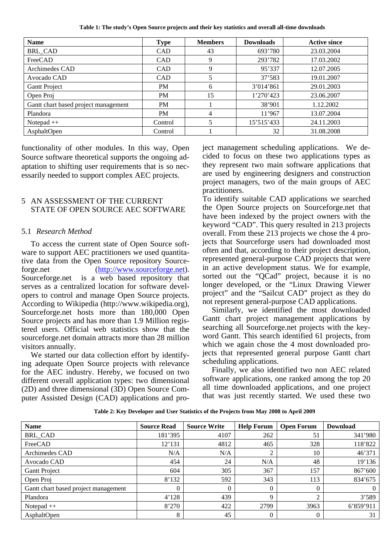**Table 1: The study's Open Source projects and their key statistics and overall all-time downloads** 

| <b>Name</b>                          | <b>Type</b> | <b>Members</b> | <b>Downloads</b> | <b>Active since</b> |
|--------------------------------------|-------------|----------------|------------------|---------------------|
| <b>BRL_CAD</b>                       | <b>CAD</b>  | 43             | 693'780          | 23.03.2004          |
| FreeCAD                              | <b>CAD</b>  | 9              | 293'782          | 17.03.2002          |
| Archimedes CAD                       | <b>CAD</b>  | 9              | 95'337           | 12.07.2005          |
| Avocado CAD                          | <b>CAD</b>  | 5              | 37'583           | 19.01.2007          |
| <b>Gantt Project</b>                 | <b>PM</b>   | 6              | 3'014'861        | 29.01.2003          |
| Open Proj                            | <b>PM</b>   | 15             | 1'270'423        | 23.06.2007          |
| Gantt chart based project management | <b>PM</b>   |                | 38'901           | 1.12.2002           |
| Plandora                             | <b>PM</b>   | 4              | 11'967           | 13.07.2004          |
| Notepad $++$                         | Control     | 5              | 15'515'433       | 24.11.2003          |
| AsphaltOpen                          | Control     |                | 32               | 31.08.2008          |

functionality of other modules. In this way, Open Source software theoretical supports the ongoing adaptation to shifting user requirements that is so necessarily needed to support complex AEC projects.

### 5 AN ASSESSMENT OF THE CURRENT STATE OF OPEN SOURCE AEC SOFTWARE

#### 5.1 *Research Method*

To access the current state of Open Source software to support AEC practitioners we used quantitative data from the Open Source repository Sourceforge.net (http://www.sourceforge.net). Sourceforge.net is a web based repository that serves as a centralized location for software developers to control and manage Open Source projects. According to Wikipedia (http://www.wikipedia.org), Sourceforge.net hosts more than 180,000 Open Source projects and has more than 1.9 Million registered users. Official web statistics show that the sourceforge.net domain attracts more than 28 million visitors annually.

We started our data collection effort by identifying adequate Open Source projects with relevance for the AEC industry. Hereby, we focused on two different overall application types: two dimensional (2D) and three dimensional (3D) Open Source Computer Assisted Design (CAD) applications and project management scheduling applications. We decided to focus on these two applications types as they represent two main software applications that are used by engineering designers and construction project managers, two of the main groups of AEC practitioners.

To identify suitable CAD applications we searched the Open Source projects on Sourceforge.net that have been indexed by the project owners with the keyword "CAD". This query resulted in 213 projects overall. From these 213 projects we chose the 4 projects that Sourceforge users had downloaded most often and that, according to their project description, represented general-purpose CAD projects that were in an active development status. We for example, sorted out the "QCad" project, because it is no longer developed, or the "Linux Drawing Viewer project" and the "Sailcut CAD" project as they do not represent general-purpose CAD applications.

Similarly, we identified the most downloaded Gantt chart project management applications by searching all Sourceforge.net projects with the keyword Gantt. This search identified 61 projects, from which we again chose the 4 most downloaded projects that represented general purpose Gantt chart scheduling applications.

Finally, we also identified two non AEC related software applications, one ranked among the top 20 all time downloaded applications, and one project that was just recently started. We used these two

| <b>Name</b>                          | <b>Source Read</b> | <b>Source Write</b> | <b>Help Forum</b> | <b>Open Forum</b> | <b>Download</b> |
|--------------------------------------|--------------------|---------------------|-------------------|-------------------|-----------------|
| <b>BRL_CAD</b>                       | 181'395            | 4107                | 262               | 51                | 341'980         |
| FreeCAD                              | 12'131             | 4812                | 465               | 328               | 118'822         |
| Archimedes CAD                       | N/A                | N/A                 | 2                 | 10                | 46'371          |
| Avocado CAD                          | 454                | 24                  | N/A               | 48                | 19'136          |
| Gantt Project                        | 604                | 305                 | 367               | 157               | 867'600         |
| Open Proj                            | 8'132              | 592                 | 343               | 113               | 834'675         |
| Gantt chart based project management |                    | $\Omega$            | $\Omega$          | $\Omega$          | $\Omega$        |
| Plandora                             | 4'128              | 439                 | 9                 | C.                | 3'589           |
| Notepad $++$                         | 8'270              | 422                 | 2799              | 3963              | 6'859'911       |
| AsphaltOpen                          | 8                  | 45                  | $\overline{0}$    | $\theta$          | 31              |

**Table 2: Key Developer and User Statistics of the Projects from May 2008 to April 2009**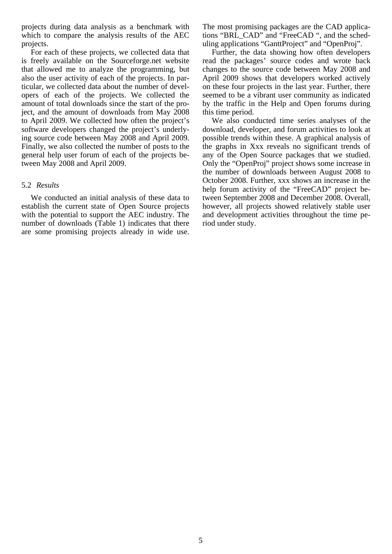projects during data analysis as a benchmark with which to compare the analysis results of the AEC projects.

For each of these projects, we collected data that is freely available on the Sourceforge.net website that allowed me to analyze the programming, but also the user activity of each of the projects. In particular, we collected data about the number of developers of each of the projects. We collected the amount of total downloads since the start of the project, and the amount of downloads from May 2008 to April 2009. We collected how often the project's software developers changed the project's underlying source code between May 2008 and April 2009. Finally, we also collected the number of posts to the general help user forum of each of the projects between May 2008 and April 2009.

### 5.2 *Results*

We conducted an initial analysis of these data to establish the current state of Open Source projects with the potential to support the AEC industry. The number of downloads (Table 1) indicates that there are some promising projects already in wide use. The most promising packages are the CAD applications "BRL\_CAD" and "FreeCAD ", and the scheduling applications "GanttProject" and "OpenProj".

Further, the data showing how often developers read the packages' source codes and wrote back changes to the source code between May 2008 and April 2009 shows that developers worked actively on these four projects in the last year. Further, there seemed to be a vibrant user community as indicated by the traffic in the Help and Open forums during this time period.

We also conducted time series analyses of the download, developer, and forum activities to look at possible trends within these. A graphical analysis of the graphs in Xxx reveals no significant trends of any of the Open Source packages that we studied. Only the "OpenProj" project shows some increase in the number of downloads between August 2008 to October 2008. Further, xxx shows an increase in the help forum activity of the "FreeCAD" project between September 2008 and December 2008. Overall, however, all projects showed relatively stable user and development activities throughout the time period under study.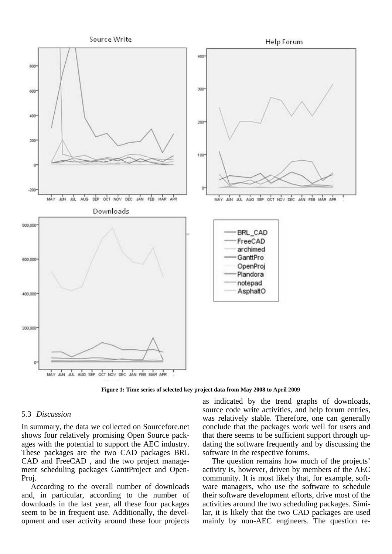

**Figure 1: Time series of selected key project data from May 2008 to April 2009** 

#### 5.3 *Discussion*

In summary, the data we collected on Sourcefore.net shows four relatively promising Open Source packages with the potential to support the AEC industry. These packages are the two CAD packages BRL CAD and FreeCAD , and the two project management scheduling packages GanttProject and Open-Proj.

According to the overall number of downloads and, in particular, according to the number of downloads in the last year, all these four packages seem to be in frequent use. Additionally, the development and user activity around these four projects

as indicated by the trend graphs of downloads, source code write activities, and help forum entries, was relatively stable. Therefore, one can generally conclude that the packages work well for users and that there seems to be sufficient support through updating the software frequently and by discussing the software in the respective forums.

The question remains how much of the projects' activity is, however, driven by members of the AEC community. It is most likely that, for example, software managers, who use the software to schedule their software development efforts, drive most of the activities around the two scheduling packages. Similar, it is likely that the two CAD packages are used mainly by non-AEC engineers. The question re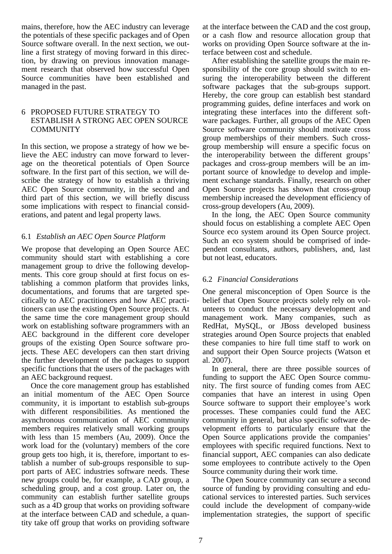mains, therefore, how the AEC industry can leverage the potentials of these specific packages and of Open Source software overall. In the next section, we outline a first strategy of moving forward in this direction, by drawing on previous innovation management research that observed how successful Open Source communities have been established and managed in the past.

### 6 PROPOSED FUTURE STRATEGY TO ESTABLISH A STRONG AEC OPEN SOURCE **COMMUNITY**

In this section, we propose a strategy of how we believe the AEC industry can move forward to leverage on the theoretical potentials of Open Source software. In the first part of this section, we will describe the strategy of how to establish a thriving AEC Open Source community, in the second and third part of this section, we will briefly discuss some implications with respect to financial considerations, and patent and legal property laws.

# 6.1 *Establish an AEC Open Source Platform*

We propose that developing an Open Source AEC community should start with establishing a core management group to drive the following developments. This core group should at first focus on establishing a common platform that provides links, documentations, and forums that are targeted specifically to AEC practitioners and how AEC practitioners can use the existing Open Source projects. At the same time the core management group should work on establishing software programmers with an AEC background in the different core developer groups of the existing Open Source software projects. These AEC developers can then start driving the further development of the packages to support specific functions that the users of the packages with an AEC background request.

Once the core management group has established an initial momentum of the AEC Open Source community, it is important to establish sub-groups with different responsibilities. As mentioned the asynchronous communication of AEC community members requires relatively small working groups with less than 15 members (Au, 2009). Once the work load for the (voluntary) members of the core group gets too high, it is, therefore, important to establish a number of sub-groups responsible to support parts of AEC industries software needs. These new groups could be, for example, a CAD group, a scheduling group, and a cost group. Later on, the community can establish further satellite groups such as a 4D group that works on providing software at the interface between CAD and schedule, a quantity take off group that works on providing software

at the interface between the CAD and the cost group, or a cash flow and resource allocation group that works on providing Open Source software at the interface between cost and schedule.

After establishing the satellite groups the main responsibility of the core group should switch to ensuring the interoperability between the different software packages that the sub-groups support. Hereby, the core group can establish best standard programming guides, define interfaces and work on integrating these interfaces into the different software packages. Further, all groups of the AEC Open Source software community should motivate cross group memberships of their members. Such crossgroup membership will ensure a specific focus on the interoperability between the different groups' packages and cross-group members will be an important source of knowledge to develop and implement exchange standards. Finally, research on other Open Source projects has shown that cross-group membership increased the development efficiency of cross-group developers (Au, 2009).

In the long, the AEC Open Source community should focus on establishing a complete AEC Open Source eco system around its Open Source project. Such an eco system should be comprised of independent consultants, authors, publishers, and, last but not least, educators.

# 6.2 *Financial Considerations*

One general misconception of Open Source is the belief that Open Source projects solely rely on volunteers to conduct the necessary development and management work. Many companies, such as RedHat, MySQL, or JBoss developed business strategies around Open Source projects that enabled these companies to hire full time staff to work on and support their Open Source projects (Watson et al. 2007).

In general, there are three possible sources of funding to support the AEC Open Source community. The first source of funding comes from AEC companies that have an interest in using Open Source software to support their employee's work processes. These companies could fund the AEC community in general, but also specific software development efforts to particularly ensure that the Open Source applications provide the companies' employees with specific required functions. Next to financial support, AEC companies can also dedicate some employees to contribute actively to the Open Source community during their work time.

The Open Source community can secure a second source of funding by providing consulting and educational services to interested parties. Such services could include the development of company-wide implementation strategies, the support of specific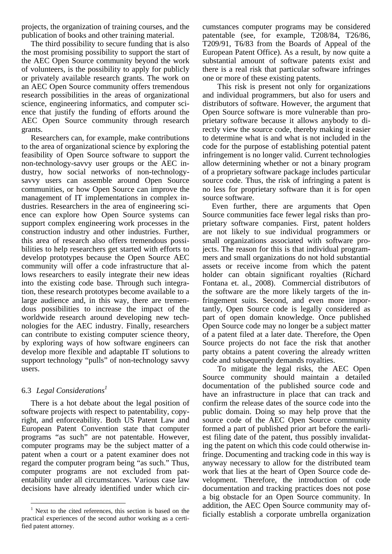projects, the organization of training courses, and the publication of books and other training material.

The third possibility to secure funding that is also the most promising possibility to support the start of the AEC Open Source community beyond the work of volunteers, is the possibility to apply for publicly or privately available research grants. The work on an AEC Open Source community offers tremendous research possibilities in the areas of organizational science, engineering informatics, and computer science that justify the funding of efforts around the AEC Open Source community through research grants.

Researchers can, for example, make contributions to the area of organizational science by exploring the feasibility of Open Source software to support the non-technology-savvy user groups or the AEC industry, how social networks of non-technologysavvy users can assemble around Open Source communities, or how Open Source can improve the management of IT implementations in complex industries. Researchers in the area of engineering science can explore how Open Source systems can support complex engineering work processes in the construction industry and other industries. Further, this area of research also offers tremendous possibilities to help researchers get started with efforts to develop prototypes because the Open Source AEC community will offer a code infrastructure that allows researchers to easily integrate their new ideas into the existing code base. Through such integration, these research prototypes become available to a large audience and, in this way, there are tremendous possibilities to increase the impact of the worldwide research around developing new technologies for the AEC industry. Finally, researchers can contribute to existing computer science theory, by exploring ways of how software engineers can develop more flexible and adaptable IT solutions to support technology "pulls" of non-technology savvy users.

# 6.3 *Legal Considerations1*

 $\overline{a}$ 

There is a hot debate about the legal position of software projects with respect to patentability, copyright, and enforceability. Both US Patent Law and European Patent Convention state that computer programs "as such" are not patentable. However, computer programs may be the subject matter of a patent when a court or a patent examiner does not regard the computer program being "as such." Thus, computer programs are not excluded from patentability under all circumstances. Various case law decisions have already identified under which circumstances computer programs may be considered patentable (see, for example, T208/84, T26/86, T209/91, T6/83 from the Boards of Appeal of the European Patent Office). As a result, by now quite a substantial amount of software patents exist and there is a real risk that particular software infringes one or more of these existing patents.

 This risk is present not only for organizations and individual programmers, but also for users and distributors of software. However, the argument that Open Source software is more vulnerable than proprietary software because it allows anybody to directly view the source code, thereby making it easier to determine what is and what is not included in the code for the purpose of establishing potential patent infringement is no longer valid. Current technologies allow determining whether or not a binary program of a proprietary software package includes particular source code. Thus, the risk of infringing a patent is no less for proprietary software than it is for open source software.

Even further, there are arguments that Open Source communities face fewer legal risks than proprietary software companies. First, patent holders are not likely to sue individual programmers or small organizations associated with software projects. The reason for this is that individual programmers and small organizations do not hold substantial assets or receive income from which the patent holder can obtain significant royalties (Richard Fontana et. al., 2008). Commercial distributors of the software are the more likely targets of the infringement suits. Second, and even more importantly, Open Source code is legally considered as part of open domain knowledge. Once published Open Source code may no longer be a subject matter of a patent filed at a later date. Therefore, the Open Source projects do not face the risk that another party obtains a patent covering the already written code and subsequently demands royalties.

 To mitigate the legal risks, the AEC Open Source community should maintain a detailed documentation of the published source code and have an infrastructure in place that can track and confirm the release dates of the source code into the public domain. Doing so may help prove that the source code of the AEC Open Source community formed a part of published prior art before the earliest filing date of the patent, thus possibly invalidating the patent on which this code could otherwise infringe. Documenting and tracking code in this way is anyway necessary to allow for the distributed team work that lies at the heart of Open Source code development. Therefore, the introduction of code documentation and tracking practices does not pose a big obstacle for an Open Source community. In addition, the AEC Open Source community may officially establish a corporate umbrella organization

<sup>&</sup>lt;sup>1</sup> Next to the cited references, this section is based on the practical experiences of the second author working as a certified patent attorney.